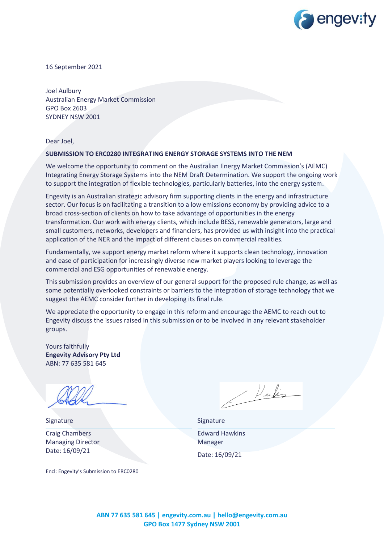

16 September 2021

Joel Aulbury Australian Energy Market Commission GPO Box 2603 SYDNEY NSW 2001

Dear Joel,

#### **SUBMISSION TO ERC0280 INTEGRATING ENERGY STORAGE SYSTEMS INTO THE NEM**

We welcome the opportunity to comment on the Australian Energy Market Commission's (AEMC) Integrating Energy Storage Systems into the NEM Draft Determination. We support the ongoing work to support the integration of flexible technologies, particularly batteries, into the energy system.

Engevity is an Australian strategic advisory firm supporting clients in the energy and infrastructure sector. Our focus is on facilitating a transition to a low emissions economy by providing advice to a broad cross-section of clients on how to take advantage of opportunities in the energy transformation. Our work with energy clients, which include BESS, renewable generators, large and small customers, networks, developers and financiers, has provided us with insight into the practical application of the NER and the impact of different clauses on commercial realities.

Fundamentally, we support energy market reform where it supports clean technology, innovation and ease of participation for increasingly diverse new market players looking to leverage the commercial and ESG opportunities of renewable energy.

This submission provides an overview of our general support for the proposed rule change, as well as some potentially overlooked constraints or barriers to the integration of storage technology that we suggest the AEMC consider further in developing its final rule.

We appreciate the opportunity to engage in this reform and encourage the AEMC to reach out to Engevity discuss the issues raised in this submission or to be involved in any relevant stakeholder groups.

Yours faithfully **Engevity Advisory Pty Ltd** ABN: 77 635 581 645

Signature Signature Signature Signature Signature Craig Chambers Managing Director Date: 16/09/21

Encl: Engevity's Submission to ERC0280

1 Vartes

Edward Hawkins Manager Date: 16/09/21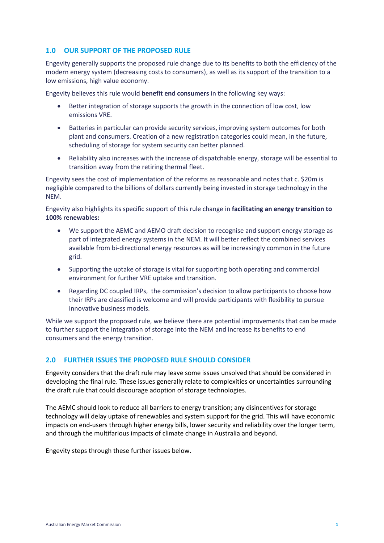## **1.0 OUR SUPPORT OF THE PROPOSED RULE**

Engevity generally supports the proposed rule change due to its benefits to both the efficiency of the modern energy system (decreasing costs to consumers), as well as its support of the transition to a low emissions, high value economy.

Engevity believes this rule would **benefit end consumers** in the following key ways:

- Better integration of storage supports the growth in the connection of low cost, low emissions VRE.
- Batteries in particular can provide security services, improving system outcomes for both plant and consumers. Creation of a new registration categories could mean, in the future, scheduling of storage for system security can better planned.
- Reliability also increases with the increase of dispatchable energy, storage will be essential to transition away from the retiring thermal fleet.

Engevity sees the cost of implementation of the reforms as reasonable and notes that c. \$20m is negligible compared to the billions of dollars currently being invested in storage technology in the NEM.

Engevity also highlights its specific support of this rule change in **facilitating an energy transition to 100% renewables:**

- We support the AEMC and AEMO draft decision to recognise and support energy storage as part of integrated energy systems in the NEM. It will better reflect the combined services available from bi-directional energy resources as will be increasingly common in the future grid.
- Supporting the uptake of storage is vital for supporting both operating and commercial environment for further VRE uptake and transition.
- Regarding DC coupled IRPs, the commission's decision to allow participants to choose how their IRPs are classified is welcome and will provide participants with flexibility to pursue innovative business models.

While we support the proposed rule, we believe there are potential improvements that can be made to further support the integration of storage into the NEM and increase its benefits to end consumers and the energy transition.

# **2.0 FURTHER ISSUES THE PROPOSED RULE SHOULD CONSIDER**

Engevity considers that the draft rule may leave some issues unsolved that should be considered in developing the final rule. These issues generally relate to complexities or uncertainties surrounding the draft rule that could discourage adoption of storage technologies.

The AEMC should look to reduce all barriers to energy transition; any disincentives for storage technology will delay uptake of renewables and system support for the grid. This will have economic impacts on end-users through higher energy bills, lower security and reliability over the longer term, and through the multifarious impacts of climate change in Australia and beyond.

Engevity steps through these further issues below.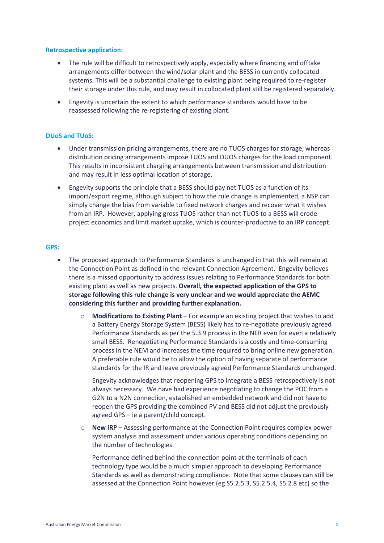### **Retrospective application:**

- The rule will be difficult to retrospectively apply, especially where financing and offtake arrangements differ between the wind/solar plant and the BESS in currently collocated systems. This will be a substantial challenge to existing plant being required to re-register their storage under this rule, and may result in collocated plant still be registered separately.
- Engevity is uncertain the extent to which performance standards would have to be reassessed following the re-registering of existing plant.

### **DUoS and TUoS:**

- Under transmission pricing arrangements, there are no TUOS charges for storage, whereas distribution pricing arrangements impose TUOS and DUOS charges for the load component. This results in inconsistent charging arrangements between transmission and distribution and may result in less optimal location of storage.
- Engevity supports the principle that a BESS should pay net TUOS as a function of its import/export regime, although subject to how the rule change is implemented, a NSP can simply change the bias from variable to fixed network charges and recover what it wishes from an IRP. However, applying gross TUOS rather than net TUOS to a BESS will erode project economics and limit market uptake, which is counter-productive to an IRP concept.

### **GPS:**

- The proposed approach to Performance Standards is unchanged in that this will remain at the Connection Point as defined in the relevant Connection Agreement. Engevity believes there is a missed opportunity to address issues relating to Performance Standards for both existing plant as well as new projects. **Overall, the expected application of the GPS to storage following this rule change is very unclear and we would appreciate the AEMC considering this further and providing further explanation.**
	- o **Modifications to Existing Plant** For example an existing project that wishes to add a Battery Energy Storage System (BESS) likely has to re-negotiate previously agreed Performance Standards as per the 5.3.9 process in the NER even for even a relatively small BESS. Renegotiating Performance Standards is a costly and time-consuming process in the NEM and increases the time required to bring online new generation. A preferable rule would be to allow the option of having separate of performance standards for the IR and leave previously agreed Performance Standards unchanged.

Engevity acknowledges that reopening GPS to integrate a BESS retrospectively is not always necessary. We have had experience negotiating to change the POC from a G2N to a N2N connection, established an embedded network and did not have to reopen the GPS providing the combined PV and BESS did not adjust the previously agreed GPS – ie a parent/child concept.

o **New IRP** – Assessing performance at the Connection Point requires complex power system analysis and assessment under various operating conditions depending on the number of technologies.

Performance defined behind the connection point at the terminals of each technology type would be a much simpler approach to developing Performance Standards as well as demonstrating compliance. Note that some clauses can still be assessed at the Connection Point however (eg S5.2.5.3, S5.2.5.4, S5.2.8 etc) so the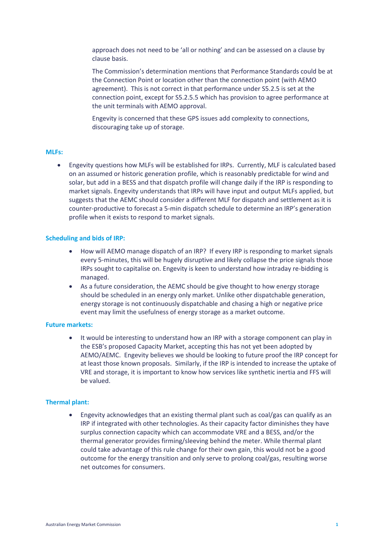approach does not need to be 'all or nothing' and can be assessed on a clause by clause basis.

The Commission's determination mentions that Performance Standards could be at the Connection Point or location other than the connection point (with AEMO agreement). This is not correct in that performance under S5.2.5 is set at the connection point, except for S5.2.5.5 which has provision to agree performance at the unit terminals with AEMO approval.

Engevity is concerned that these GPS issues add complexity to connections, discouraging take up of storage.

## **MLFs:**

• Engevity questions how MLFs will be established for IRPs. Currently, MLF is calculated based on an assumed or historic generation profile, which is reasonably predictable for wind and solar, but add in a BESS and that dispatch profile will change daily if the IRP is responding to market signals. Engevity understands that IRPs will have input and output MLFs applied, but suggests that the AEMC should consider a different MLF for dispatch and settlement as it is counter-productive to forecast a 5-min dispatch schedule to determine an IRP's generation profile when it exists to respond to market signals.

### **Scheduling and bids of IRP:**

- How will AEMO manage dispatch of an IRP? If every IRP is responding to market signals every 5-minutes, this will be hugely disruptive and likely collapse the price signals those IRPs sought to capitalise on. Engevity is keen to understand how intraday re-bidding is managed.
- As a future consideration, the AEMC should be give thought to how energy storage should be scheduled in an energy only market. Unlike other dispatchable generation, energy storage is not continuously dispatchable and chasing a high or negative price event may limit the usefulness of energy storage as a market outcome.

#### **Future markets:**

• It would be interesting to understand how an IRP with a storage component can play in the ESB's proposed Capacity Market, accepting this has not yet been adopted by AEMO/AEMC. Engevity believes we should be looking to future proof the IRP concept for at least those known proposals. Similarly, if the IRP is intended to increase the uptake of VRE and storage, it is important to know how services like synthetic inertia and FFS will be valued.

### **Thermal plant:**

• Engevity acknowledges that an existing thermal plant such as coal/gas can qualify as an IRP if integrated with other technologies. As their capacity factor diminishes they have surplus connection capacity which can accommodate VRE and a BESS, and/or the thermal generator provides firming/sleeving behind the meter. While thermal plant could take advantage of this rule change for their own gain, this would not be a good outcome for the energy transition and only serve to prolong coal/gas, resulting worse net outcomes for consumers.